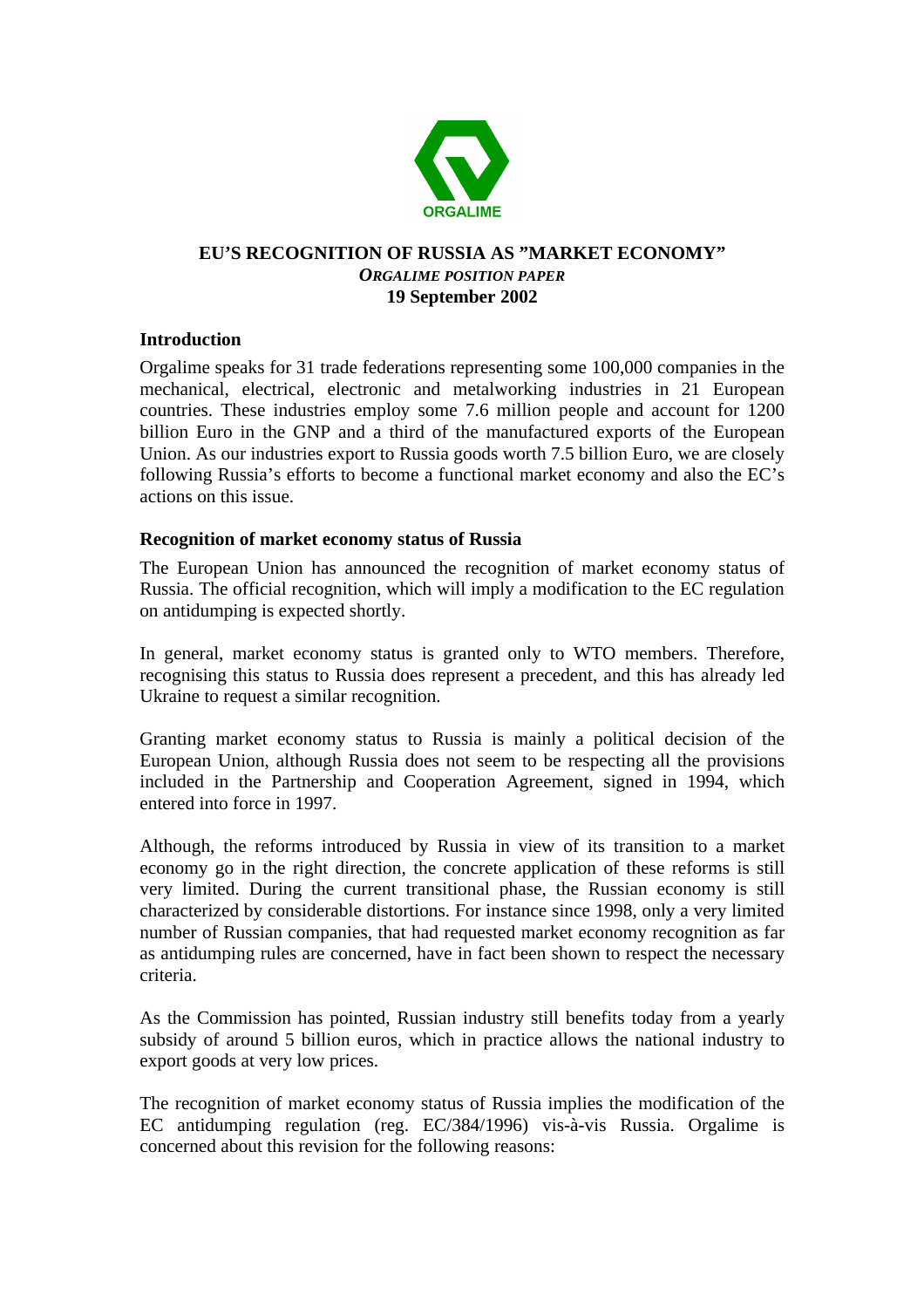

## **EU'S RECOGNITION OF RUSSIA AS "MARKET ECONOMY"** *ORGALIME POSITION PAPER* **19 September 2002**

## **Introduction**

Orgalime speaks for 31 trade federations representing some 100,000 companies in the mechanical, electrical, electronic and metalworking industries in 21 European countries. These industries employ some 7.6 million people and account for 1200 billion Euro in the GNP and a third of the manufactured exports of the European Union. As our industries export to Russia goods worth 7.5 billion Euro, we are closely following Russia's efforts to become a functional market economy and also the EC's actions on this issue.

## **Recognition of market economy status of Russia**

The European Union has announced the recognition of market economy status of Russia. The official recognition, which will imply a modification to the EC regulation on antidumping is expected shortly.

In general, market economy status is granted only to WTO members. Therefore, recognising this status to Russia does represent a precedent, and this has already led Ukraine to request a similar recognition.

Granting market economy status to Russia is mainly a political decision of the European Union, although Russia does not seem to be respecting all the provisions included in the Partnership and Cooperation Agreement, signed in 1994, which entered into force in 1997.

Although, the reforms introduced by Russia in view of its transition to a market economy go in the right direction, the concrete application of these reforms is still very limited. During the current transitional phase, the Russian economy is still characterized by considerable distortions. For instance since 1998, only a very limited number of Russian companies, that had requested market economy recognition as far as antidumping rules are concerned, have in fact been shown to respect the necessary criteria.

As the Commission has pointed, Russian industry still benefits today from a yearly subsidy of around 5 billion euros, which in practice allows the national industry to export goods at very low prices.

The recognition of market economy status of Russia implies the modification of the EC antidumping regulation (reg. EC/384/1996) vis-à-vis Russia. Orgalime is concerned about this revision for the following reasons: